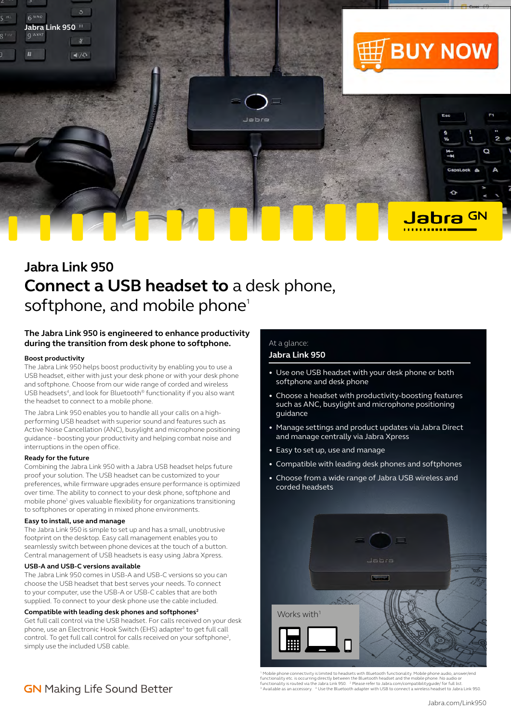

# **Jabra Link 950 Connect a USB headset to** a desk phone, softphone, and mobile phone<sup>1</sup>

### **The Jabra Link 950 is engineered to enhance productivity during the transition from desk phone to softphone.**

#### **Boost productivity**

The Jabra Link 950 helps boost productivity by enabling you to use a USB headset, either with just your desk phone or with your desk phone and softphone. Choose from our wide range of corded and wireless USB headsets<sup>4</sup>, and look for Bluetooth<sup>®</sup> functionality if you also want the headset to connect to a mobile phone.

The Jabra Link 950 enables you to handle all your calls on a highperforming USB headset with superior sound and features such as Active Noise Cancellation (ANC), busylight and microphone positioning guidance - boosting your productivity and helping combat noise and interruptions in the open office.

#### **Ready for the future**

Combining the Jabra Link 950 with a Jabra USB headset helps future proof your solution. The USB headset can be customized to your preferences, while firmware upgrades ensure performance is optimized over time. The ability to connect to your desk phone, softphone and mobile phone<sup>1</sup> gives valuable flexibility for organizations transitioning to softphones or operating in mixed phone environments.

#### **Easy to install, use and manage**

The Jabra Link 950 is simple to set up and has a small, unobtrusive footprint on the desktop. Easy call management enables you to seamlessly switch between phone devices at the touch of a button. Central management of USB headsets is easy using Jabra Xpress.

#### **USB-A and USB-C versions available**

The Jabra Link 950 comes in USB-A and USB-C versions so you can choose the USB headset that best serves your needs. To connect to your computer, use the USB-A or USB-C cables that are both supplied. To connect to your desk phone use the cable included.

#### **Compatible with leading desk phones and softphones2**

Get full call control via the USB headset. For calls received on your desk phone, use an Electronic Hook Switch (EHS) adapter<sup>3</sup> to get full call control. To get full call control for calls received on your softphone<sup>2</sup>, simply use the included USB cable.

# At a glance:

## **Jabra Link 950**

- Use one USB headset with your desk phone or both softphone and desk phone
- Choose a headset with productivity-boosting features such as ANC, busylight and microphone positioning guidance
- Manage settings and product updates via Jabra Direct and manage centrally via Jabra Xpress
- Easy to set up, use and manage
- Compatible with leading desk phones and softphones
- Choose from a wide range of Jabra USB wireless and corded headsets



<sup>1</sup> Mobile phone connectivity is limited to headsets with Bluetooth functionality. Mobile phone audio, answer/end<br>functionality etc. is occurring directly between the Bluetooth headset and the mobile phone. No audio or<br>fun

# **GN** Making Life Sound Better